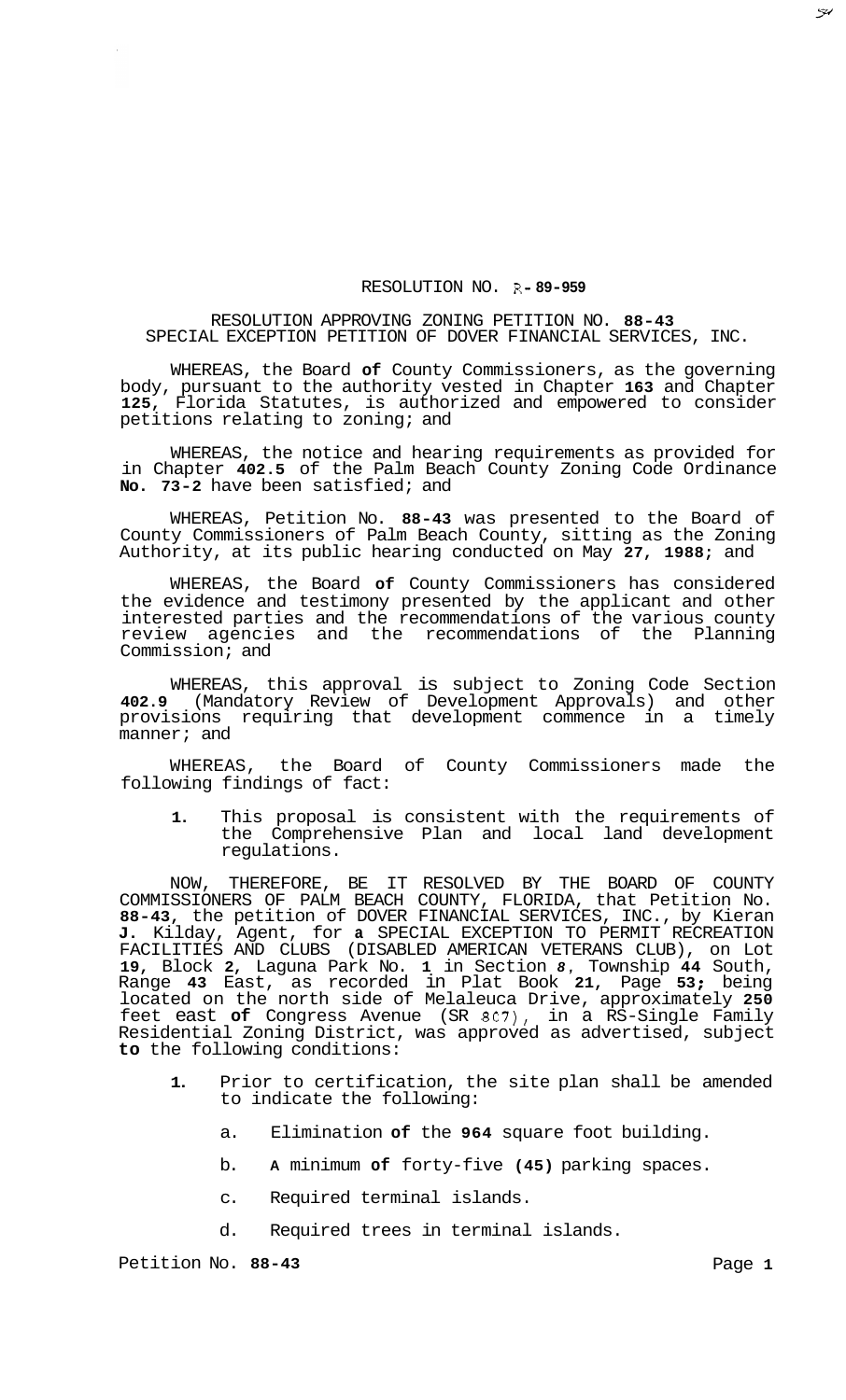## RESOLUTION NO. R- **89-959**

## RESOLUTION APPROVING ZONING PETITION NO. **88-43**  SPECIAL EXCEPTION PETITION OF DOVER FINANCIAL SERVICES, INC.

WHEREAS, the Board **of** County Commissioners, as the governing body, pursuant to the authority vested in Chapter **163** and Chapter **125,** Florida Statutes, is authorized and empowered to consider petitions relating to zoning; and

WHEREAS, the notice and hearing requirements as provided for in Chapter **402.5** of the Palm Beach County Zoning Code Ordinance **No. 73-2** have been satisfied; and

WHEREAS, Petition No. **88-43** was presented to the Board of County Commissioners of Palm Beach County, sitting as the Zoning Authority, at its public hearing conducted on May **27, 1988;** and

WHEREAS, the Board **of** County Commissioners has considered the evidence and testimony presented by the applicant and other interested parties and the recommendations of the various county review agencies and the recommendations of the Planning Commission; and

WHEREAS, this approval is subject to Zoning Code Section **402.9** (Mandatory Review of Development Approvals) and other provisions requiring that development commence in a timely manner; and

WHEREAS, the Board of County Commissioners made the following findings of fact:

**1.** This proposal is consistent with the requirements of the Comprehensive Plan and local land development regulations.

NOW, THEREFORE, BE IT RESOLVED BY THE BOARD OF COUNTY COMMISSIONERS OF PALM BEACH COUNTY, FLORIDA, that Petition No. **88-43,** the petition of DOVER FINANCIAL SERVICES, INC., by Kieran **J.** Kilday, Agent, for **a** SPECIAL EXCEPTION TO PERMIT RECREATION FACILITIES AND CLUBS (DISABLED AMERICAN VETERANS CLUB), on Lot **19,** Block **2,** Laguna Park No. **1** in Section *8,* Township **44** South, Range **43** East, as recorded in Plat Book **21,** Page **53** ; being located on the north side of Melaleuca Drive, approximately **250**  feet east **of** Congress Avenue (SR *807),* in a RS-Single Family Residential Zoning District, was approved as advertised, subject **to** the following conditions:

- **1.** Prior to certification, the site plan shall be amended to indicate the following:
	- a. Elimination **of** the **964** square foot building.
	- b. **A** minimum **of** forty-five **(45)** parking spaces.
	- c. Required terminal islands.
	- d. Required trees in terminal islands.

Petition No. 88-43 **Page 1 Page 1** 

 $\tilde{\mathcal{H}}$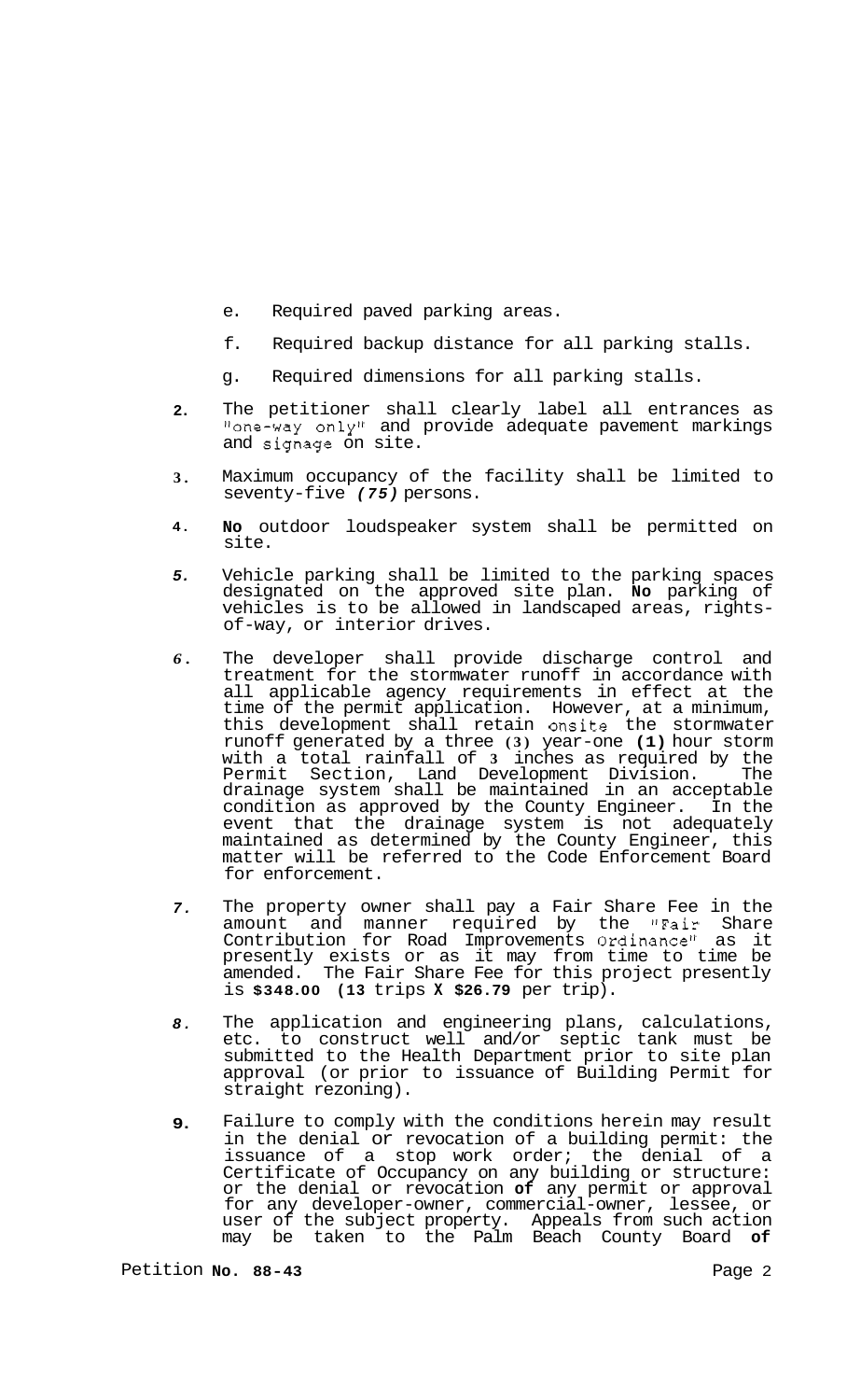- e. Required paved parking areas.
- f. Required backup distance for all parking stalls.
- g. Required dimensions for all parking stalls.
- **2.**  The petitioner shall clearly label all entrances as "one-way only" and provide adequate pavement markings and signage on site.
- **3.**  Maximum occupancy of the facility shall be limited to seventy-f ive *(75)* persons.
- **4. No** outdoor loudspeaker system shall be permitted on site.
- *5.*  Vehicle parking shall be limited to the parking spaces designated on the approved site plan. **No** parking of vehicles is to be allowed in landscaped areas, rights- of-way, or interior drives.
- *6.*  The developer shall provide discharge control and treatment for the stormwater runoff in accordance with all applicable agency requirements in effect at the time of the permit application. However, at a minimum, this development shall retain onsite the stormwater runoff generated by a three **(3)** year-one **(1)** hour storm with a total rainfall of **3** inches as required by the Permit Section, Land Development Division. The drainage system shall be maintained in an acceptable condition as approved by the County Engineer. In the event that the drainage system is not adequately maintained as determined by the County Engineer, this matter will be referred to the Code Enforcement Board for enforcement.
- *7.*  The property owner shall pay a Fair Share Fee in the amount and manner required by the "Fair Share Contribution for Road Improvements Ordinance" as it presently exists or as it may from time to time be amended. The Fair Share Fee for this project presently is **\$348.00 (13** trips **X \$26.79** per trip).
- *8.*  The application and engineering plans, calculations, etc. to construct well and/or septic tank must be submitted to the Health Department prior to site plan approval (or prior to issuance of Building Permit for straight rezoning).
- **9.**  Failure to comply with the conditions herein may result in the denial or revocation of a building permit: the issuance of a stop work order; the denial of a Certificate of Occupancy on any building or structure: or the denial or revocation **of** any permit or approval for any developer-owner, commercial-owner, lessee, or user of the subject property. Appeals from such action may be taken to the Palm Beach County Board **of**